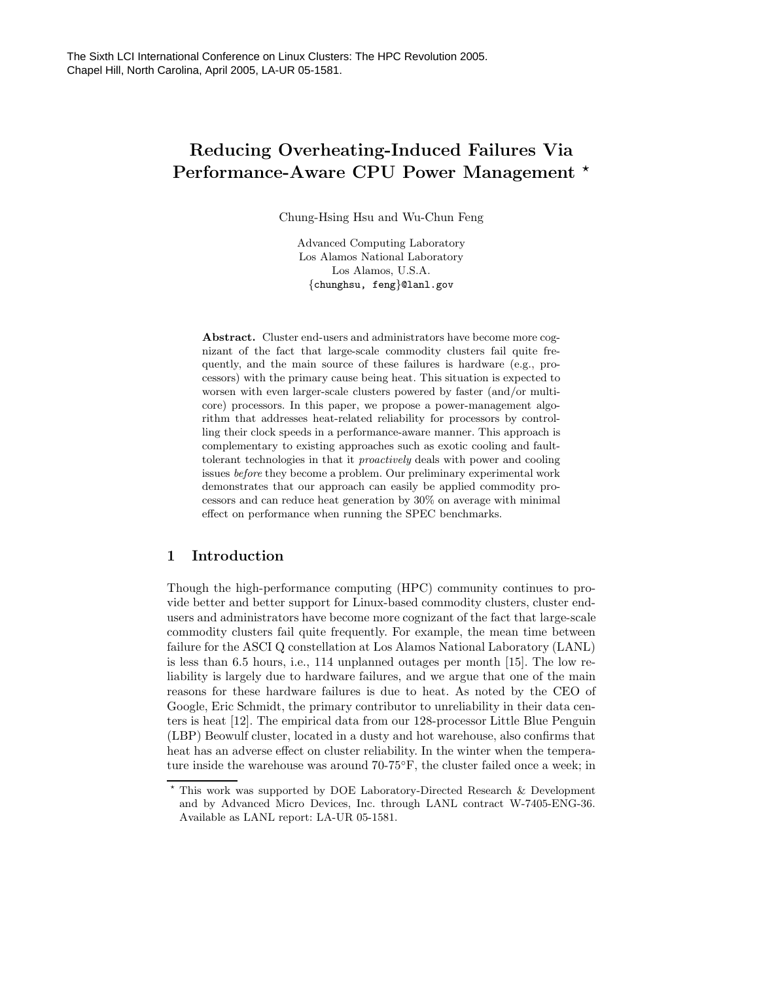# Reducing Overheating-Induced Failures Via Performance-Aware CPU Power Management \*

Chung-Hsing Hsu and Wu-Chun Feng

Advanced Computing Laboratory Los Alamos National Laboratory Los Alamos, U.S.A. {chunghsu, feng}@lanl.gov

Abstract. Cluster end-users and administrators have become more cognizant of the fact that large-scale commodity clusters fail quite frequently, and the main source of these failures is hardware (e.g., processors) with the primary cause being heat. This situation is expected to worsen with even larger-scale clusters powered by faster (and/or multicore) processors. In this paper, we propose a power-management algorithm that addresses heat-related reliability for processors by controlling their clock speeds in a performance-aware manner. This approach is complementary to existing approaches such as exotic cooling and faulttolerant technologies in that it proactively deals with power and cooling issues before they become a problem. Our preliminary experimental work demonstrates that our approach can easily be applied commodity processors and can reduce heat generation by 30% on average with minimal effect on performance when running the SPEC benchmarks.

# 1 Introduction

Though the high-performance computing (HPC) community continues to provide better and better support for Linux-based commodity clusters, cluster endusers and administrators have become more cognizant of the fact that large-scale commodity clusters fail quite frequently. For example, the mean time between failure for the ASCI Q constellation at Los Alamos National Laboratory (LANL) is less than 6.5 hours, i.e., 114 unplanned outages per month [15]. The low reliability is largely due to hardware failures, and we argue that one of the main reasons for these hardware failures is due to heat. As noted by the CEO of Google, Eric Schmidt, the primary contributor to unreliability in their data centers is heat [12]. The empirical data from our 128-processor Little Blue Penguin (LBP) Beowulf cluster, located in a dusty and hot warehouse, also confirms that heat has an adverse effect on cluster reliability. In the winter when the temperature inside the warehouse was around 70-75◦F, the cluster failed once a week; in

<sup>?</sup> This work was supported by DOE Laboratory-Directed Research & Development and by Advanced Micro Devices, Inc. through LANL contract W-7405-ENG-36. Available as LANL report: LA-UR 05-1581.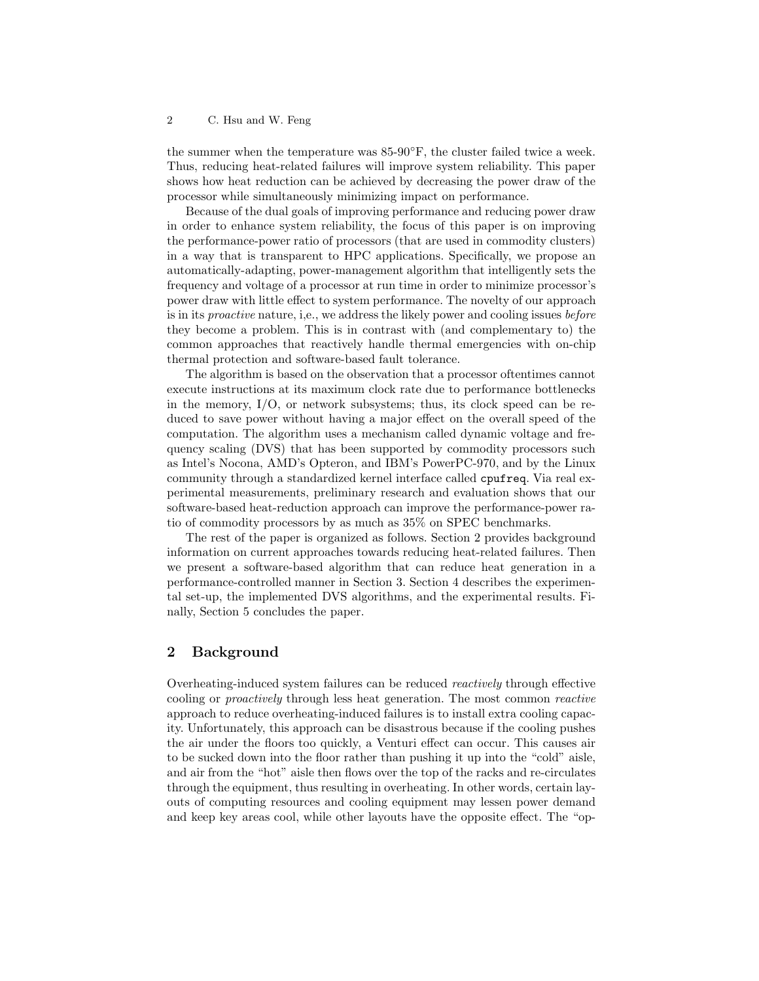the summer when the temperature was  $85-90^\circ F$ , the cluster failed twice a week. Thus, reducing heat-related failures will improve system reliability. This paper shows how heat reduction can be achieved by decreasing the power draw of the processor while simultaneously minimizing impact on performance.

Because of the dual goals of improving performance and reducing power draw in order to enhance system reliability, the focus of this paper is on improving the performance-power ratio of processors (that are used in commodity clusters) in a way that is transparent to HPC applications. Specifically, we propose an automatically-adapting, power-management algorithm that intelligently sets the frequency and voltage of a processor at run time in order to minimize processor's power draw with little effect to system performance. The novelty of our approach is in its proactive nature, i,e., we address the likely power and cooling issues before they become a problem. This is in contrast with (and complementary to) the common approaches that reactively handle thermal emergencies with on-chip thermal protection and software-based fault tolerance.

The algorithm is based on the observation that a processor oftentimes cannot execute instructions at its maximum clock rate due to performance bottlenecks in the memory,  $I/O$ , or network subsystems; thus, its clock speed can be reduced to save power without having a major effect on the overall speed of the computation. The algorithm uses a mechanism called dynamic voltage and frequency scaling (DVS) that has been supported by commodity processors such as Intel's Nocona, AMD's Opteron, and IBM's PowerPC-970, and by the Linux community through a standardized kernel interface called cpufreq. Via real experimental measurements, preliminary research and evaluation shows that our software-based heat-reduction approach can improve the performance-power ratio of commodity processors by as much as 35% on SPEC benchmarks.

The rest of the paper is organized as follows. Section 2 provides background information on current approaches towards reducing heat-related failures. Then we present a software-based algorithm that can reduce heat generation in a performance-controlled manner in Section 3. Section 4 describes the experimental set-up, the implemented DVS algorithms, and the experimental results. Finally, Section 5 concludes the paper.

# 2 Background

Overheating-induced system failures can be reduced reactively through effective cooling or proactively through less heat generation. The most common reactive approach to reduce overheating-induced failures is to install extra cooling capacity. Unfortunately, this approach can be disastrous because if the cooling pushes the air under the floors too quickly, a Venturi effect can occur. This causes air to be sucked down into the floor rather than pushing it up into the "cold" aisle, and air from the "hot" aisle then flows over the top of the racks and re-circulates through the equipment, thus resulting in overheating. In other words, certain layouts of computing resources and cooling equipment may lessen power demand and keep key areas cool, while other layouts have the opposite effect. The "op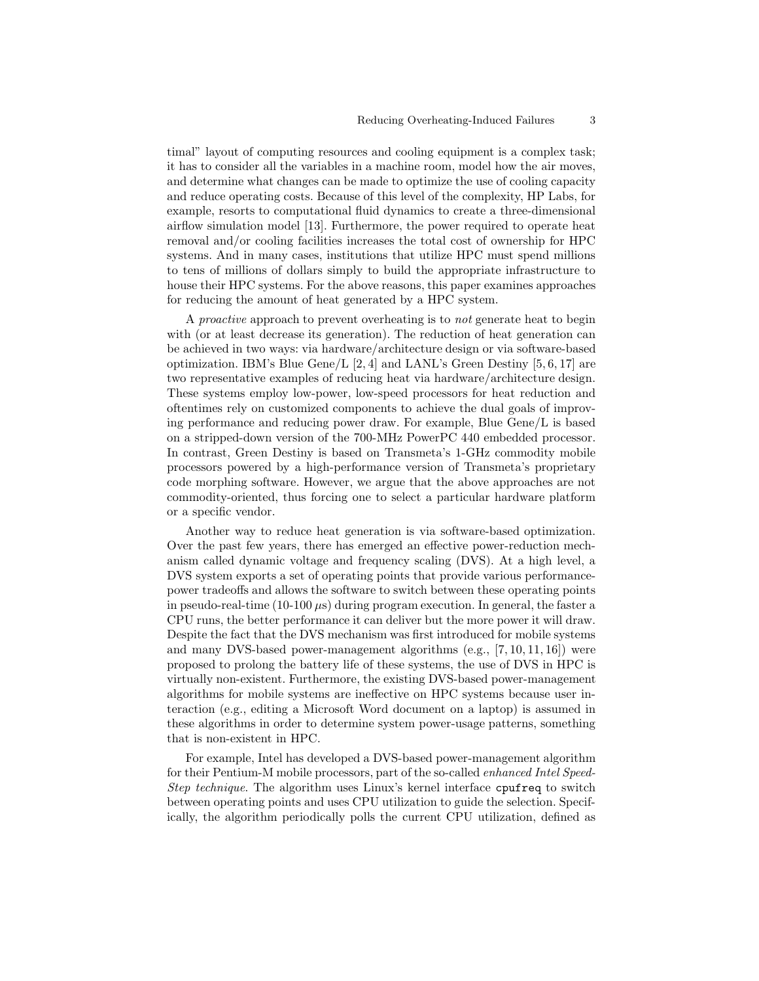timal" layout of computing resources and cooling equipment is a complex task; it has to consider all the variables in a machine room, model how the air moves, and determine what changes can be made to optimize the use of cooling capacity and reduce operating costs. Because of this level of the complexity, HP Labs, for example, resorts to computational fluid dynamics to create a three-dimensional airflow simulation model [13]. Furthermore, the power required to operate heat removal and/or cooling facilities increases the total cost of ownership for HPC systems. And in many cases, institutions that utilize HPC must spend millions to tens of millions of dollars simply to build the appropriate infrastructure to house their HPC systems. For the above reasons, this paper examines approaches for reducing the amount of heat generated by a HPC system.

A proactive approach to prevent overheating is to not generate heat to begin with (or at least decrease its generation). The reduction of heat generation can be achieved in two ways: via hardware/architecture design or via software-based optimization. IBM's Blue Gene/L  $[2, 4]$  and LANL's Green Destiny  $[5, 6, 17]$  are two representative examples of reducing heat via hardware/architecture design. These systems employ low-power, low-speed processors for heat reduction and oftentimes rely on customized components to achieve the dual goals of improving performance and reducing power draw. For example, Blue Gene/L is based on a stripped-down version of the 700-MHz PowerPC 440 embedded processor. In contrast, Green Destiny is based on Transmeta's 1-GHz commodity mobile processors powered by a high-performance version of Transmeta's proprietary code morphing software. However, we argue that the above approaches are not commodity-oriented, thus forcing one to select a particular hardware platform or a specific vendor.

Another way to reduce heat generation is via software-based optimization. Over the past few years, there has emerged an effective power-reduction mechanism called dynamic voltage and frequency scaling (DVS). At a high level, a DVS system exports a set of operating points that provide various performancepower tradeoffs and allows the software to switch between these operating points in pseudo-real-time (10-100  $\mu$ s) during program execution. In general, the faster a CPU runs, the better performance it can deliver but the more power it will draw. Despite the fact that the DVS mechanism was first introduced for mobile systems and many DVS-based power-management algorithms  $(e.g., [7, 10, 11, 16])$  were proposed to prolong the battery life of these systems, the use of DVS in HPC is virtually non-existent. Furthermore, the existing DVS-based power-management algorithms for mobile systems are ineffective on HPC systems because user interaction (e.g., editing a Microsoft Word document on a laptop) is assumed in these algorithms in order to determine system power-usage patterns, something that is non-existent in HPC.

For example, Intel has developed a DVS-based power-management algorithm for their Pentium-M mobile processors, part of the so-called enhanced Intel Speed-Step technique. The algorithm uses Linux's kernel interface cpufreq to switch between operating points and uses CPU utilization to guide the selection. Specifically, the algorithm periodically polls the current CPU utilization, defined as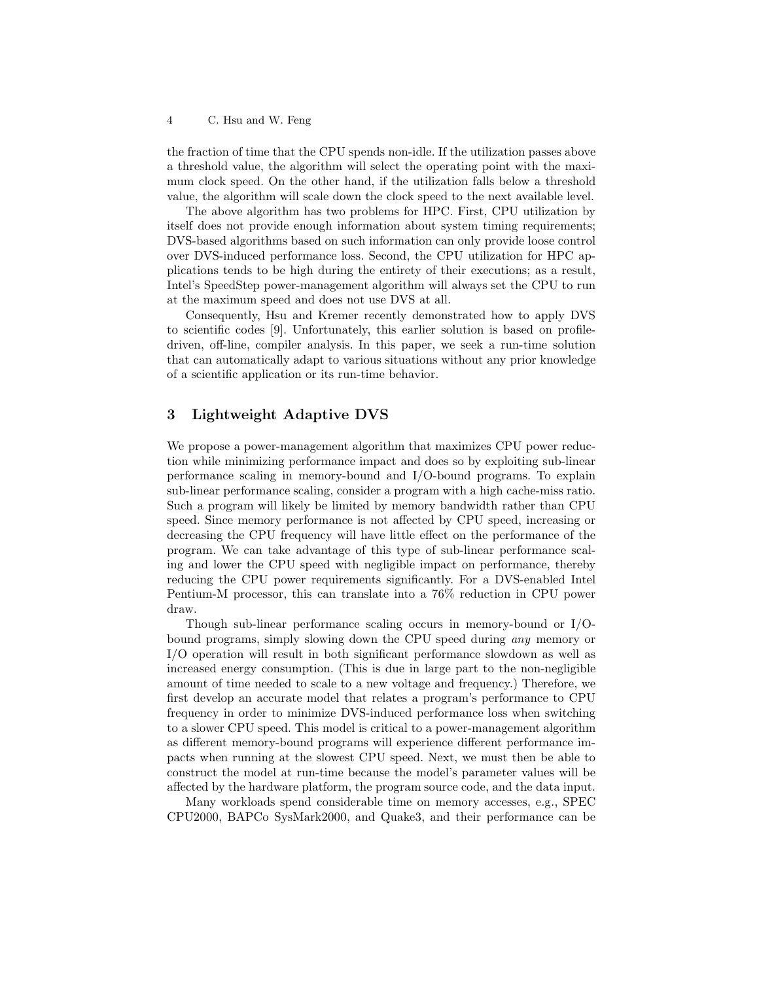the fraction of time that the CPU spends non-idle. If the utilization passes above a threshold value, the algorithm will select the operating point with the maximum clock speed. On the other hand, if the utilization falls below a threshold value, the algorithm will scale down the clock speed to the next available level.

The above algorithm has two problems for HPC. First, CPU utilization by itself does not provide enough information about system timing requirements; DVS-based algorithms based on such information can only provide loose control over DVS-induced performance loss. Second, the CPU utilization for HPC applications tends to be high during the entirety of their executions; as a result, Intel's SpeedStep power-management algorithm will always set the CPU to run at the maximum speed and does not use DVS at all.

Consequently, Hsu and Kremer recently demonstrated how to apply DVS to scientific codes [9]. Unfortunately, this earlier solution is based on profiledriven, off-line, compiler analysis. In this paper, we seek a run-time solution that can automatically adapt to various situations without any prior knowledge of a scientific application or its run-time behavior.

## 3 Lightweight Adaptive DVS

We propose a power-management algorithm that maximizes CPU power reduction while minimizing performance impact and does so by exploiting sub-linear performance scaling in memory-bound and I/O-bound programs. To explain sub-linear performance scaling, consider a program with a high cache-miss ratio. Such a program will likely be limited by memory bandwidth rather than CPU speed. Since memory performance is not affected by CPU speed, increasing or decreasing the CPU frequency will have little effect on the performance of the program. We can take advantage of this type of sub-linear performance scaling and lower the CPU speed with negligible impact on performance, thereby reducing the CPU power requirements significantly. For a DVS-enabled Intel Pentium-M processor, this can translate into a 76% reduction in CPU power draw.

Though sub-linear performance scaling occurs in memory-bound or I/Obound programs, simply slowing down the CPU speed during any memory or I/O operation will result in both significant performance slowdown as well as increased energy consumption. (This is due in large part to the non-negligible amount of time needed to scale to a new voltage and frequency.) Therefore, we first develop an accurate model that relates a program's performance to CPU frequency in order to minimize DVS-induced performance loss when switching to a slower CPU speed. This model is critical to a power-management algorithm as different memory-bound programs will experience different performance impacts when running at the slowest CPU speed. Next, we must then be able to construct the model at run-time because the model's parameter values will be affected by the hardware platform, the program source code, and the data input.

Many workloads spend considerable time on memory accesses, e.g., SPEC CPU2000, BAPCo SysMark2000, and Quake3, and their performance can be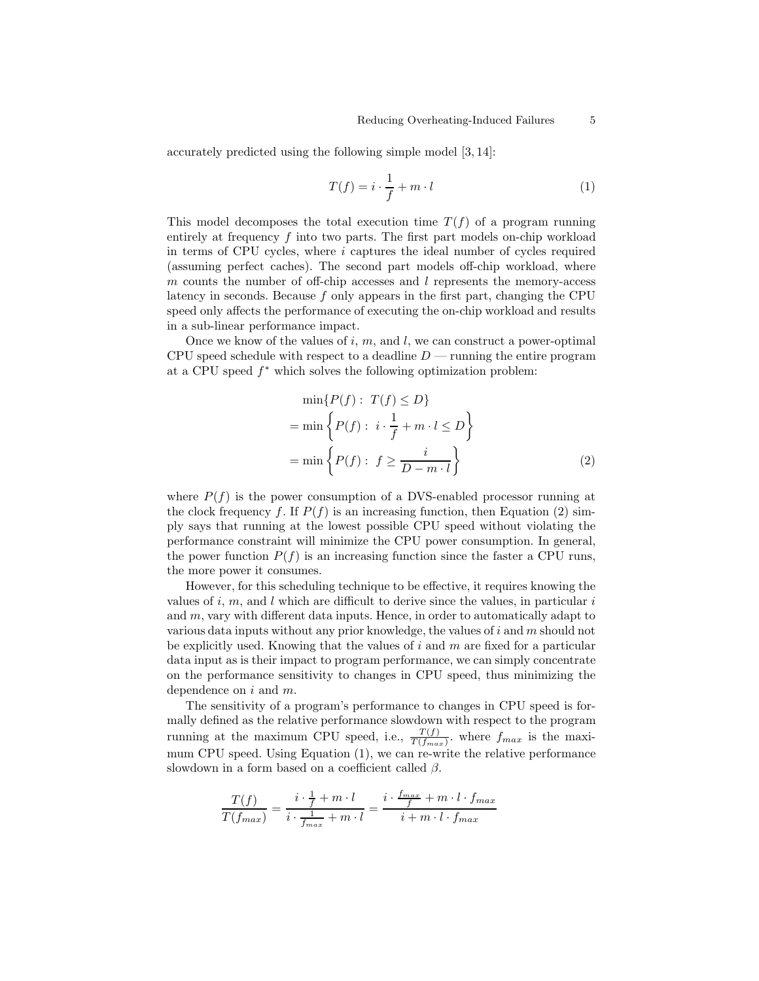accurately predicted using the following simple model [3, 14]:

$$
T(f) = i \cdot \frac{1}{f} + m \cdot l \tag{1}
$$

This model decomposes the total execution time  $T(f)$  of a program running entirely at frequency  $f$  into two parts. The first part models on-chip workload in terms of CPU cycles, where  $i$  captures the ideal number of cycles required (assuming perfect caches). The second part models off-chip workload, where m counts the number of off-chip accesses and  $l$  represents the memory-access latency in seconds. Because f only appears in the first part, changing the CPU speed only affects the performance of executing the on-chip workload and results in a sub-linear performance impact.

Once we know of the values of  $i, m$ , and  $l$ , we can construct a power-optimal CPU speed schedule with respect to a deadline  $D$  — running the entire program at a CPU speed  $f^*$  which solves the following optimization problem:

$$
\min\{P(f): T(f) \le D\}
$$
  
= 
$$
\min\left\{P(f): i \cdot \frac{1}{f} + m \cdot l \le D\right\}
$$
  
= 
$$
\min\left\{P(f): f \ge \frac{i}{D - m \cdot l}\right\}
$$
 (2)

where  $P(f)$  is the power consumption of a DVS-enabled processor running at the clock frequency f. If  $P(f)$  is an increasing function, then Equation (2) simply says that running at the lowest possible CPU speed without violating the performance constraint will minimize the CPU power consumption. In general, the power function  $P(f)$  is an increasing function since the faster a CPU runs, the more power it consumes.

However, for this scheduling technique to be effective, it requires knowing the values of i, m, and l which are difficult to derive since the values, in particular  $i$ and  $m$ , vary with different data inputs. Hence, in order to automatically adapt to various data inputs without any prior knowledge, the values of i and  $m$  should not be explicitly used. Knowing that the values of  $i$  and  $m$  are fixed for a particular data input as is their impact to program performance, we can simply concentrate on the performance sensitivity to changes in CPU speed, thus minimizing the dependence on  $i$  and  $m$ .

The sensitivity of a program's performance to changes in CPU speed is formally defined as the relative performance slowdown with respect to the program running at the maximum CPU speed, i.e.,  $\frac{T(f)}{T(f_{max})}$ . where  $f_{max}$  is the maximum CPU speed. Using Equation (1), we can re-write the relative performance slowdown in a form based on a coefficient called  $\beta$ .

$$
\frac{T(f)}{T(f_{max})} = \frac{i \cdot \frac{1}{f} + m \cdot l}{i \cdot \frac{1}{f_{max}} + m \cdot l} = \frac{i \cdot \frac{f_{max}}{f} + m \cdot l \cdot f_{max}}{i + m \cdot l \cdot f_{max}}
$$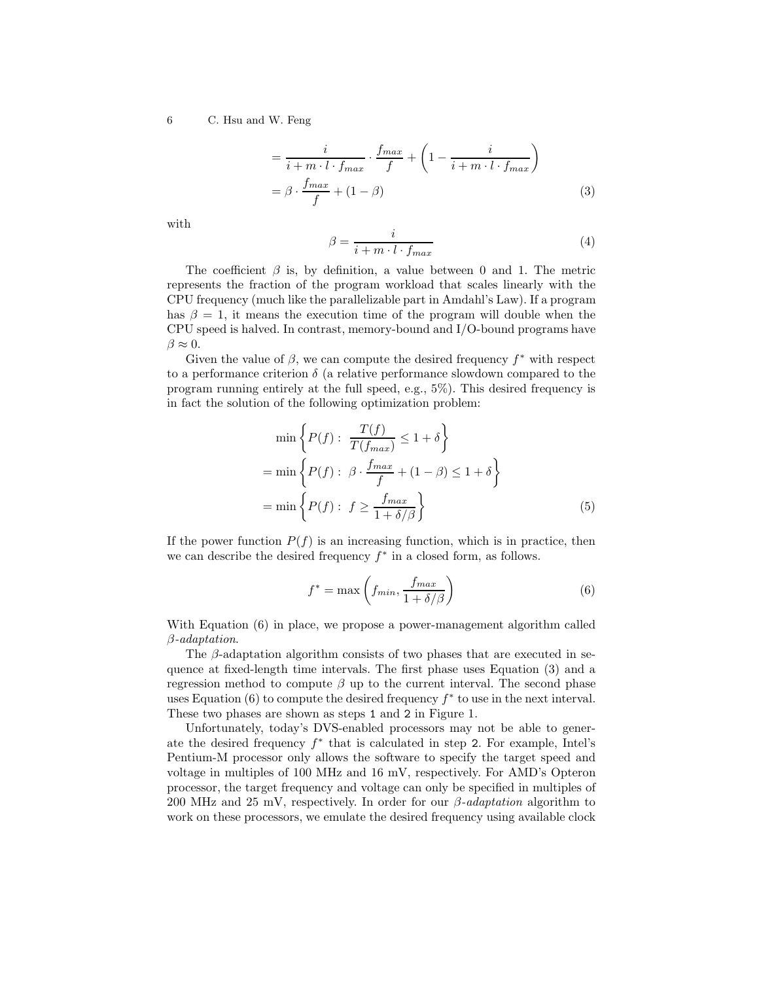$$
= \frac{i}{i+m \cdot l \cdot f_{max}} \cdot \frac{f_{max}}{f} + \left(1 - \frac{i}{i+m \cdot l \cdot f_{max}}\right)
$$

$$
= \beta \cdot \frac{f_{max}}{f} + (1 - \beta) \tag{3}
$$

with

$$
\beta = \frac{i}{i + m \cdot l \cdot f_{max}}\tag{4}
$$

The coefficient  $\beta$  is, by definition, a value between 0 and 1. The metric represents the fraction of the program workload that scales linearly with the CPU frequency (much like the parallelizable part in Amdahl's Law). If a program has  $\beta = 1$ , it means the execution time of the program will double when the CPU speed is halved. In contrast, memory-bound and I/O-bound programs have  $\beta \approx 0$ .

Given the value of  $\beta$ , we can compute the desired frequency  $f^*$  with respect to a performance criterion  $\delta$  (a relative performance slowdown compared to the program running entirely at the full speed, e.g., 5%). This desired frequency is in fact the solution of the following optimization problem:

$$
\min \left\{ P(f) : \frac{T(f)}{T(f_{max})} \le 1 + \delta \right\}
$$

$$
= \min \left\{ P(f) : \beta \cdot \frac{f_{max}}{f} + (1 - \beta) \le 1 + \delta \right\}
$$

$$
= \min \left\{ P(f) : f \ge \frac{f_{max}}{1 + \delta/\beta} \right\} \tag{5}
$$

If the power function  $P(f)$  is an increasing function, which is in practice, then we can describe the desired frequency  $f^*$  in a closed form, as follows.

$$
f^* = \max\left(f_{min}, \frac{f_{max}}{1 + \delta/\beta}\right)
$$
 (6)

With Equation  $(6)$  in place, we propose a power-management algorithm called β-adaptation.

The β-adaptation algorithm consists of two phases that are executed in sequence at fixed-length time intervals. The first phase uses Equation (3) and a regression method to compute  $\beta$  up to the current interval. The second phase uses Equation (6) to compute the desired frequency  $f^*$  to use in the next interval. These two phases are shown as steps 1 and 2 in Figure 1.

Unfortunately, today's DVS-enabled processors may not be able to generate the desired frequency  $f^*$  that is calculated in step 2. For example, Intel's Pentium-M processor only allows the software to specify the target speed and voltage in multiples of 100 MHz and 16 mV, respectively. For AMD's Opteron processor, the target frequency and voltage can only be specified in multiples of 200 MHz and 25 mV, respectively. In order for our  $\beta$ -adaptation algorithm to work on these processors, we emulate the desired frequency using available clock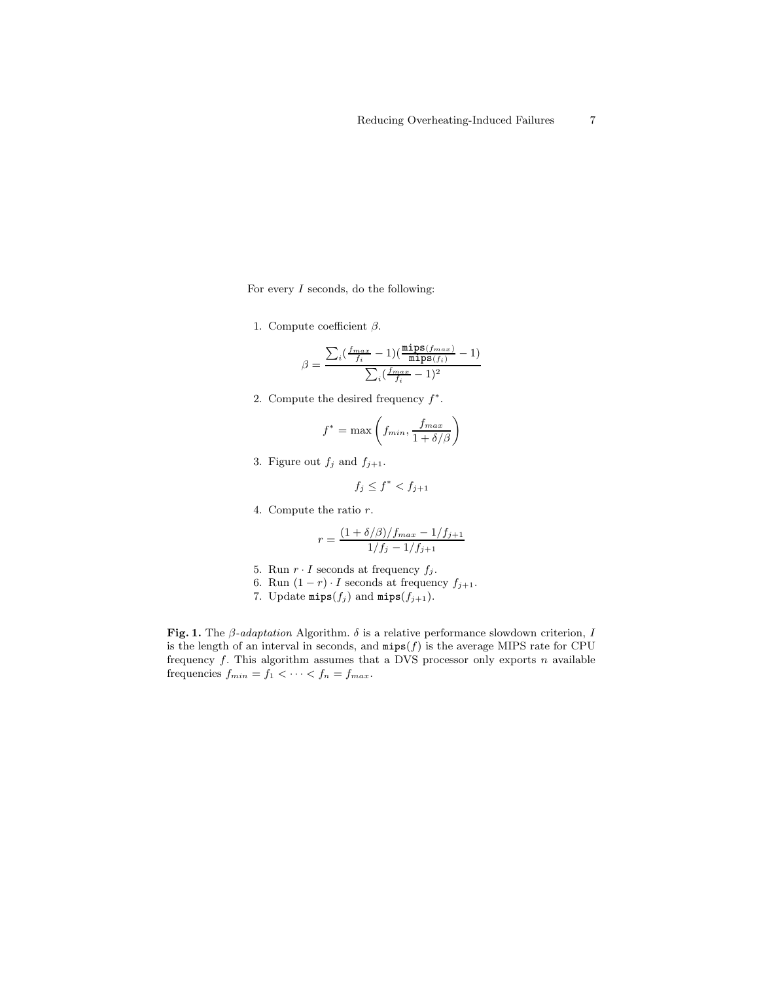For every  $I$  seconds, do the following:

1. Compute coefficient  $\beta$ .

$$
\beta = \frac{\sum_{i} (\frac{f_{max}}{f_i} - 1)(\frac{\text{minps}(f_{max})}{\text{minps}(f_i)} - 1)}{\sum_{i} (\frac{f_{max}}{f_i} - 1)^2}
$$

2. Compute the desired frequency  $f^*$ .

$$
f^* = \max\left(f_{min}, \frac{f_{max}}{1 + \delta/\beta}\right)
$$

3. Figure out  $f_j$  and  $f_{j+1}$ .

$$
f_j \le f^* < f_{j+1}
$$

4. Compute the ratio r.

$$
r = \frac{(1 + \delta/\beta)/f_{max} - 1/f_{j+1}}{1/f_j - 1/f_{j+1}}
$$

- 5. Run  $r \cdot I$  seconds at frequency  $f_j$ .
- 6. Run  $(1 r) \cdot I$  seconds at frequency  $f_{j+1}$ .
- 7. Update  $\min(s(f_j)$  and  $\min(s(f_{j+1})$ .

Fig. 1. The  $\beta$ -adaptation Algorithm.  $\delta$  is a relative performance slowdown criterion, I is the length of an interval in seconds, and  $mips(f)$  is the average MIPS rate for CPU frequency  $f$ . This algorithm assumes that a DVS processor only exports  $n$  available frequencies  $f_{min} = f_1 < \cdots < f_n = f_{max}$ .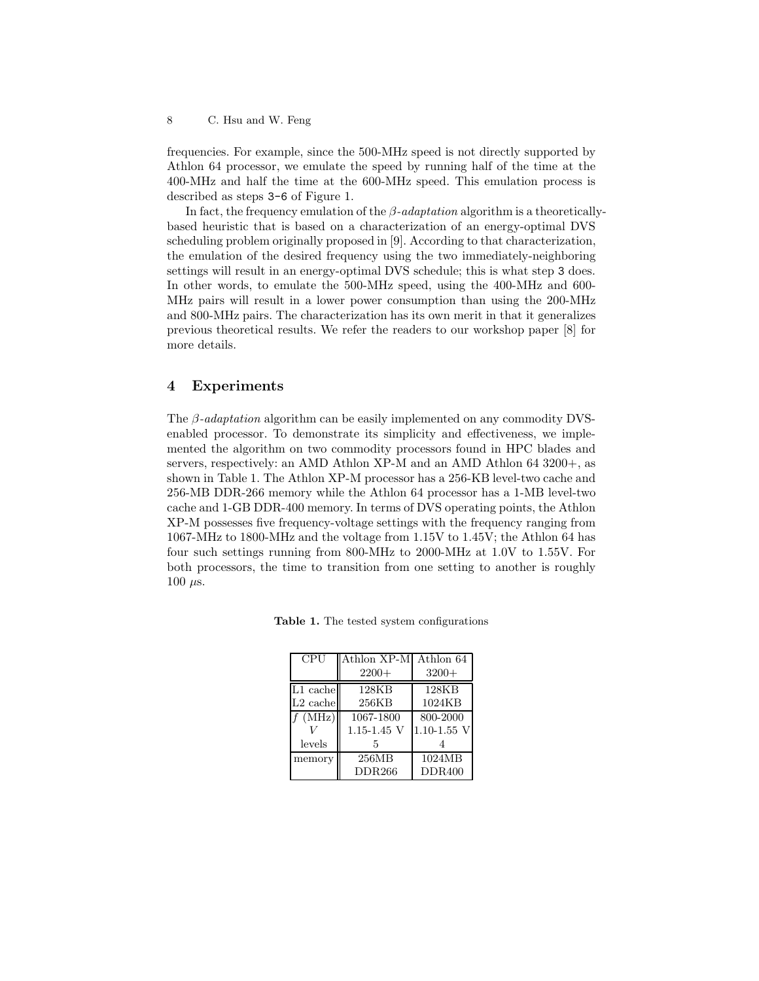frequencies. For example, since the 500-MHz speed is not directly supported by Athlon 64 processor, we emulate the speed by running half of the time at the 400-MHz and half the time at the 600-MHz speed. This emulation process is described as steps 3-6 of Figure 1.

In fact, the frequency emulation of the  $\beta$ -adaptation algorithm is a theoreticallybased heuristic that is based on a characterization of an energy-optimal DVS scheduling problem originally proposed in [9]. According to that characterization, the emulation of the desired frequency using the two immediately-neighboring settings will result in an energy-optimal DVS schedule; this is what step 3 does. In other words, to emulate the 500-MHz speed, using the 400-MHz and 600- MHz pairs will result in a lower power consumption than using the 200-MHz and 800-MHz pairs. The characterization has its own merit in that it generalizes previous theoretical results. We refer the readers to our workshop paper [8] for more details.

## 4 Experiments

The  $\beta$ -*adaptation* algorithm can be easily implemented on any commodity DVSenabled processor. To demonstrate its simplicity and effectiveness, we implemented the algorithm on two commodity processors found in HPC blades and servers, respectively: an AMD Athlon XP-M and an AMD Athlon 64 3200+, as shown in Table 1. The Athlon XP-M processor has a 256-KB level-two cache and 256-MB DDR-266 memory while the Athlon 64 processor has a 1-MB level-two cache and 1-GB DDR-400 memory. In terms of DVS operating points, the Athlon XP-M possesses five frequency-voltage settings with the frequency ranging from 1067-MHz to 1800-MHz and the voltage from 1.15V to 1.45V; the Athlon 64 has four such settings running from 800-MHz to 2000-MHz at 1.0V to 1.55V. For both processors, the time to transition from one setting to another is roughly 100  $\mu$ s.

Table 1. The tested system configurations

| CPU                    | Athlon XP-M Athlon 64 |                 |
|------------------------|-----------------------|-----------------|
|                        | $2200+$               | $3200+$         |
| $L1$ cache             | 128KB                 | <b>128KB</b>    |
| $L2 \, \mathrm{cache}$ | 256KB                 | 1024KB          |
| $f$ (MHz)              | 1067-1800             | 800-2000        |
|                        | $1.15 - 1.45$ V       | $1.10 - 1.55$ V |
| levels                 | 5                     |                 |
| memory                 | 256MB                 | 1024MB          |
|                        | DDR266                | DDR400          |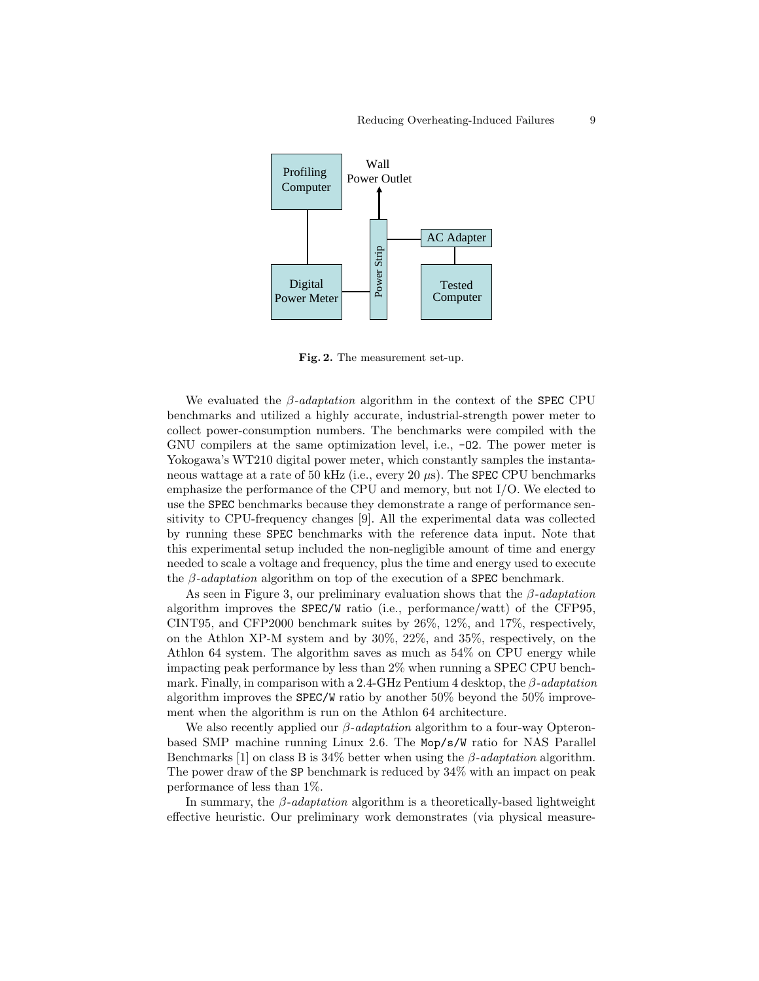

Fig. 2. The measurement set-up.

We evaluated the  $\beta$ -adaptation algorithm in the context of the SPEC CPU benchmarks and utilized a highly accurate, industrial-strength power meter to collect power-consumption numbers. The benchmarks were compiled with the GNU compilers at the same optimization level, i.e., -O2. The power meter is Yokogawa's WT210 digital power meter, which constantly samples the instantaneous wattage at a rate of 50 kHz (i.e., every 20  $\mu$ s). The SPEC CPU benchmarks emphasize the performance of the CPU and memory, but not I/O. We elected to use the SPEC benchmarks because they demonstrate a range of performance sensitivity to CPU-frequency changes [9]. All the experimental data was collected by running these SPEC benchmarks with the reference data input. Note that this experimental setup included the non-negligible amount of time and energy needed to scale a voltage and frequency, plus the time and energy used to execute the  $\beta$ -*adaptation* algorithm on top of the execution of a **SPEC** benchmark.

As seen in Figure 3, our preliminary evaluation shows that the  $\beta$ -adaptation algorithm improves the SPEC/W ratio (i.e., performance/watt) of the CFP95, CINT95, and CFP2000 benchmark suites by 26%, 12%, and 17%, respectively, on the Athlon XP-M system and by 30%, 22%, and 35%, respectively, on the Athlon 64 system. The algorithm saves as much as 54% on CPU energy while impacting peak performance by less than 2% when running a SPEC CPU benchmark. Finally, in comparison with a 2.4-GHz Pentium 4 desktop, the  $\beta$ -adaptation algorithm improves the SPEC/W ratio by another 50% beyond the 50% improvement when the algorithm is run on the Athlon 64 architecture.

We also recently applied our  $\beta$ -adaptation algorithm to a four-way Opteronbased SMP machine running Linux 2.6. The Mop/s/W ratio for NAS Parallel Benchmarks [1] on class B is  $34\%$  better when using the  $\beta$ -adaptation algorithm. The power draw of the SP benchmark is reduced by 34% with an impact on peak performance of less than 1%.

In summary, the  $\beta$ -adaptation algorithm is a theoretically-based lightweight effective heuristic. Our preliminary work demonstrates (via physical measure-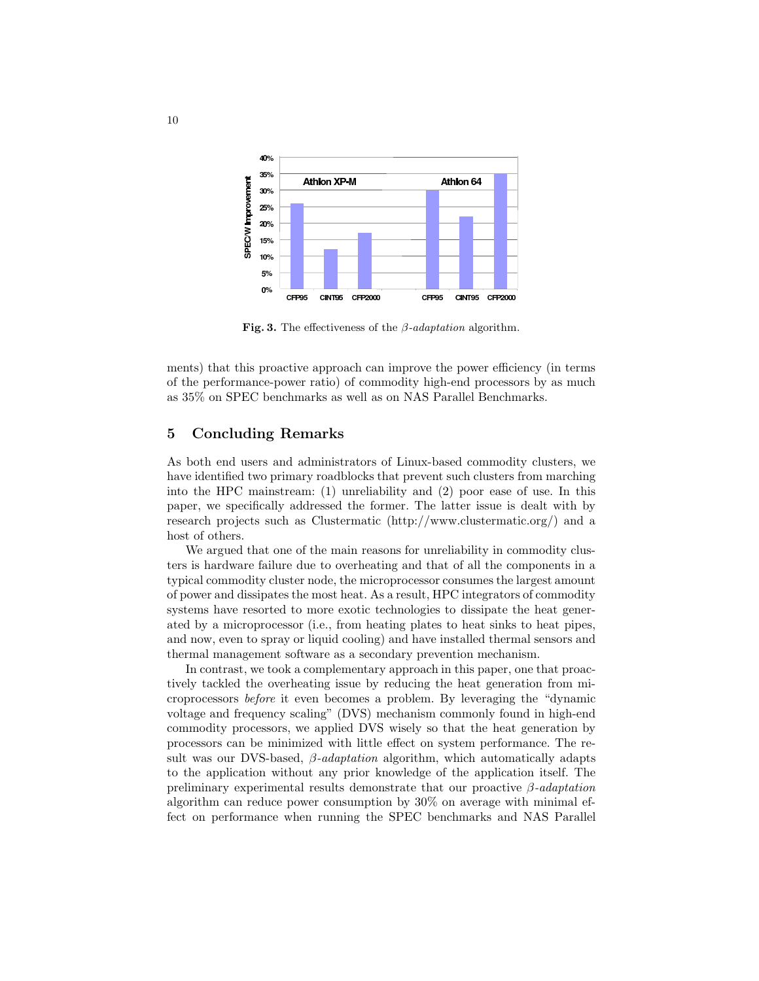

Fig. 3. The effectiveness of the  $\beta$ -adaptation algorithm.

ments) that this proactive approach can improve the power efficiency (in terms of the performance-power ratio) of commodity high-end processors by as much as 35% on SPEC benchmarks as well as on NAS Parallel Benchmarks.

## 5 Concluding Remarks

As both end users and administrators of Linux-based commodity clusters, we have identified two primary roadblocks that prevent such clusters from marching into the HPC mainstream: (1) unreliability and (2) poor ease of use. In this paper, we specifically addressed the former. The latter issue is dealt with by research projects such as Clustermatic (http://www.clustermatic.org/) and a host of others.

We argued that one of the main reasons for unreliability in commodity clusters is hardware failure due to overheating and that of all the components in a typical commodity cluster node, the microprocessor consumes the largest amount of power and dissipates the most heat. As a result, HPC integrators of commodity systems have resorted to more exotic technologies to dissipate the heat generated by a microprocessor (i.e., from heating plates to heat sinks to heat pipes, and now, even to spray or liquid cooling) and have installed thermal sensors and thermal management software as a secondary prevention mechanism.

In contrast, we took a complementary approach in this paper, one that proactively tackled the overheating issue by reducing the heat generation from microprocessors before it even becomes a problem. By leveraging the "dynamic voltage and frequency scaling" (DVS) mechanism commonly found in high-end commodity processors, we applied DVS wisely so that the heat generation by processors can be minimized with little effect on system performance. The result was our DVS-based,  $\beta$ -adaptation algorithm, which automatically adapts to the application without any prior knowledge of the application itself. The preliminary experimental results demonstrate that our proactive  $\beta$ -adaptation algorithm can reduce power consumption by 30% on average with minimal effect on performance when running the SPEC benchmarks and NAS Parallel